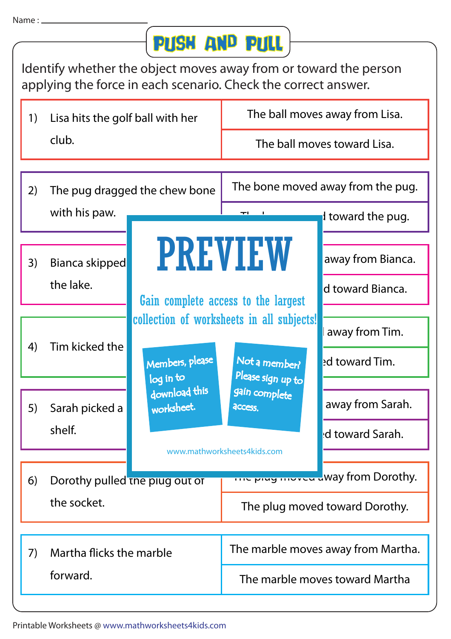## Push and Pull

Identify whether the object moves away from or toward the person applying the force in each scenario. Check the correct answer.

| 1) | Lisa hits the golf ball with her<br>club.     |                                                             | The ball moves away from Lisa.                                                                                                                    |                                       |  |
|----|-----------------------------------------------|-------------------------------------------------------------|---------------------------------------------------------------------------------------------------------------------------------------------------|---------------------------------------|--|
|    |                                               |                                                             | The ball moves toward Lisa.                                                                                                                       |                                       |  |
| 2) | with his paw.                                 | The pug dragged the chew bone<br><b>PREVIEW</b>             | The bone moved away from the pug.<br>I toward the pug.                                                                                            |                                       |  |
| 3) | Bianca skipped<br>the lake.                   |                                                             | Gain complete access to the largest                                                                                                               | away from Bianca.<br>d toward Bianca. |  |
| 4) | Tim kicked the                                | Members, please<br>log in to<br>download this<br>worksheet. | collection of worksheets in all subjects!<br>Not a member?<br>Please sign up to<br>gain complete<br><b>ACCESS.</b><br>www.mathworksheets4kids.com | away from Tim.<br>ed toward Tim.      |  |
| 5) | Sarah picked a<br>shelf.                      |                                                             |                                                                                                                                                   | away from Sarah.<br>d toward Sarah.   |  |
| 6) | Dorothy pulled the plug out of<br>the socket. |                                                             | <b>The play moved a</b> Way from Dorothy.                                                                                                         |                                       |  |
|    |                                               |                                                             | The plug moved toward Dorothy.                                                                                                                    |                                       |  |
| 7) |                                               | Martha flicks the marble                                    |                                                                                                                                                   | The marble moves away from Martha.    |  |
|    | forward.                                      |                                                             | The marble moves toward Martha                                                                                                                    |                                       |  |